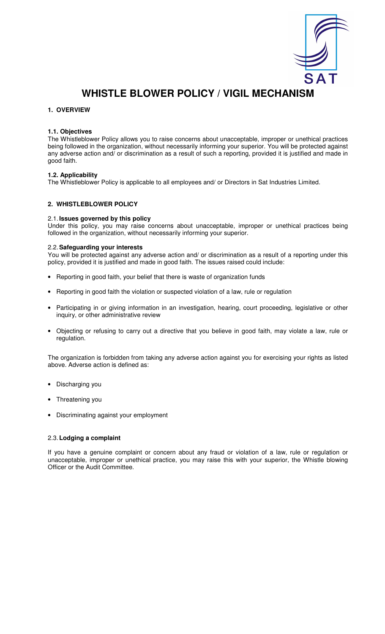

# **WHISTLE BLOWER POLICY / VIGIL MECHANISM**

## **1. OVERVIEW**

## **1.1. Objectives**

The Whistleblower Policy allows you to raise concerns about unacceptable, improper or unethical practices being followed in the organization, without necessarily informing your superior. You will be protected against any adverse action and/ or discrimination as a result of such a reporting, provided it is justified and made in good faith.

## **1.2. Applicability**

The Whistleblower Policy is applicable to all employees and/ or Directors in Sat Industries Limited.

# **2. WHISTLEBLOWER POLICY**

#### 2.1. **Issues governed by this policy**

Under this policy, you may raise concerns about unacceptable, improper or unethical practices being followed in the organization, without necessarily informing your superior.

#### 2.2. **Safeguarding your interests**

You will be protected against any adverse action and/ or discrimination as a result of a reporting under this policy, provided it is justified and made in good faith. The issues raised could include:

- Reporting in good faith, your belief that there is waste of organization funds
- Reporting in good faith the violation or suspected violation of a law, rule or regulation
- Participating in or giving information in an investigation, hearing, court proceeding, legislative or other inquiry, or other administrative review
- Objecting or refusing to carry out a directive that you believe in good faith, may violate a law, rule or regulation.

The organization is forbidden from taking any adverse action against you for exercising your rights as listed above. Adverse action is defined as:

- Discharging you
- Threatening you
- Discriminating against your employment

## 2.3. **Lodging a complaint**

If you have a genuine complaint or concern about any fraud or violation of a law, rule or regulation or unacceptable, improper or unethical practice, you may raise this with your superior, the Whistle blowing Officer or the Audit Committee.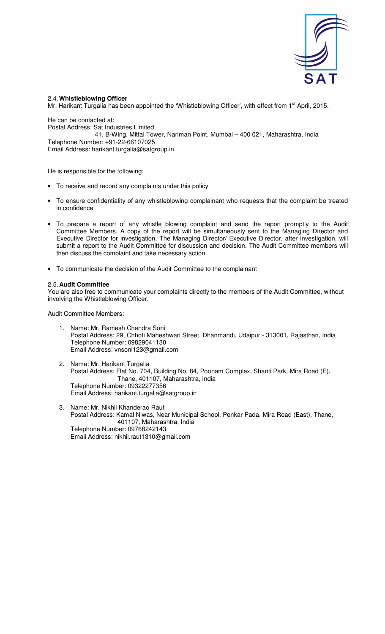

# 2.4. **Whistleblowing Officer**

Mr. Harikant Turgalia has been appointed the 'Whistleblowing Officer', with effect from 1<sup>st</sup> April, 2015.

He can be contacted at: Postal Address: Sat Industries Limited 41, B-Wing, Mittal Tower, Nariman Point, Mumbai – 400 021, Maharashtra, India Telephone Number: +91-22-66107025 Email Address: harikant.turgalia@satgroup.in

He is responsible for the following:

- To receive and record any complaints under this policy
- To ensure confidentiality of any whistleblowing complainant who requests that the complaint be treated in confidence
- To prepare a report of any whistle blowing complaint and send the report promptly to the Audit Committee Members. A copy of the report will be simultaneously sent to the Managing Director and Executive Director for investigation. The Managing Director/ Executive Director, after investigation, will submit a report to the Audit Committee for discussion and decision. The Audit Committee members will then discuss the complaint and take necessary action.
- To communicate the decision of the Audit Committee to the complainant

## 2.5. **Audit Committee**

You are also free to communicate your complaints directly to the members of the Audit Committee, without involving the Whistleblowing Officer.

Audit Committee Members:

- 1. Name: Mr. Ramesh Chandra Soni Postal Address: 29, Chhoti Maheshwari Street, Dhanmandi, Udaipur - 313001, Rajasthan, India Telephone Number: 09829041130 Email Address: vnsoni123@gmail.com
- 2. Name: Mr. Harikant Turgalia Postal Address: Flat No. 704, Building No. 84, Poonam Complex, Shanti Park, Mira Road (E), Thane, 401107, Maharashtra, India Telephone Number: 09322277356 Email Address: harikant.turgalia@satgroup.in
- 3. Name: Mr. Nikhil Khanderao Raut Postal Address: Kamal Niwas, Near Municipal School, Penkar Pada, Mira Road (East), Thane, 401107, Maharashtra, India Telephone Number: 09768242143. Email Address: nikhil.raut1310@gmail.com